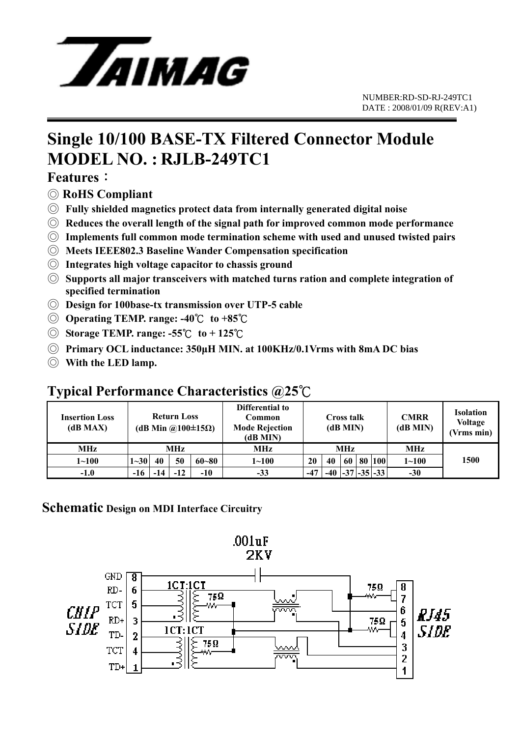

## **Single 10/100 BASE-TX Filtered Connector Module MODEL NO. : RJLB-249TC1**

### **Features**:

- ◎ **RoHS Compliant**
- ◎ **Fully shielded magnetics protect data from internally generated digital noise**
- ◎ **Reduces the overall length of the signal path for improved common mode performance**
- ◎ **Implements full common mode termination scheme with used and unused twisted pairs**
- ◎ **Meets IEEE802.3 Baseline Wander Compensation specification**
- ◎ **Integrates high voltage capacitor to chassis ground**
- ◎ **Supports all major transceivers with matched turns ration and complete integration of specified termination**
- ◎ **Design for 100base-tx transmission over UTP-5 cable**
- ◎ **Operating TEMP. range: -40**℃ **to +85**℃
- ◎ **Storage TEMP. range: -55**℃ **to + 125**℃
- ◎ **Primary OCL inductance: 350μH MIN. at 100KHz/0.1Vrms with 8mA DC bias**
- ◎ **With the LED lamp.**

### **Typical Performance Characteristics @25**℃

| <b>Insertion Loss</b><br>(dB MAX) | <b>Return Loss</b><br>(dB Min @100 $\pm$ 15 $\Omega$ ) |    |       |           | Differential to<br><b>Common</b><br><b>Mode Rejection</b><br>(dB MIN) |            | Cross talk<br>(dB MIN) |    |    |                       | <b>CMRR</b><br>(dB MIN) | <b>Isolation</b><br><b>Voltage</b><br>(Vrms min) |
|-----------------------------------|--------------------------------------------------------|----|-------|-----------|-----------------------------------------------------------------------|------------|------------------------|----|----|-----------------------|-------------------------|--------------------------------------------------|
| <b>MHz</b>                        | <b>MHz</b>                                             |    |       |           | MHz                                                                   | <b>MHz</b> |                        |    |    |                       | MHz                     |                                                  |
| $1 - 100$                         | $1 - 30$                                               | 40 | 50    | $60 - 80$ | $1 - 100$                                                             | 20         | 40                     | 60 | 80 | 100                   | $1 - 100$               | 1500                                             |
| $-1.0$                            | $-16$                                                  |    | $-12$ | $-10$     | $-33$                                                                 | $-47$      | $-40$                  |    |    | $-37$ $-35$ $-33$ $ $ | $-30$                   |                                                  |

### **Schematic Design on MDI Interface Circuitry**

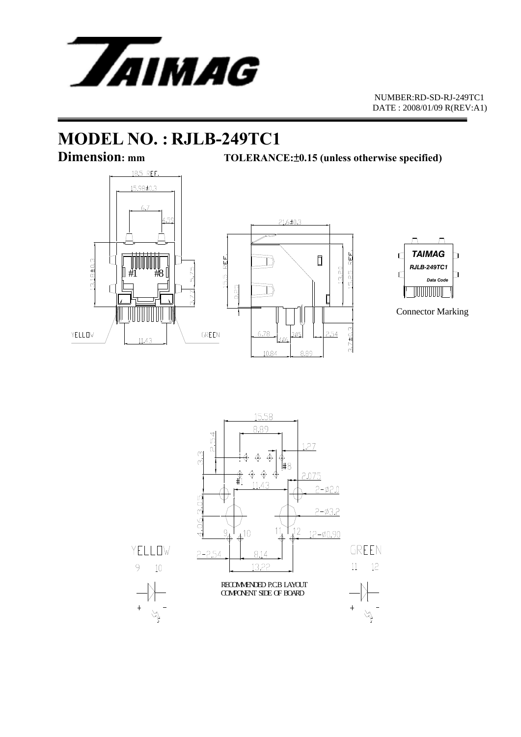

 NUMBER:RD-SD-RJ-249TC1 DATE : 2008/01/09 R(REV:A1)

## **MODEL NO. : RJLB-249TC1**

**Dimension:** mm TOLERANCE:  $\pm 0.15$  (unless otherwise specified)





Connector Marking

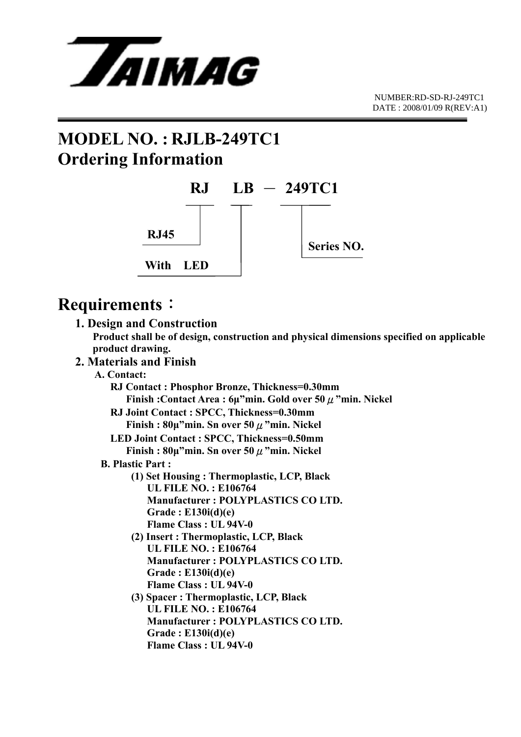

## **MODEL NO. : RJLB-249TC1 Ordering Information**



## **Requirements**:

| 1. Design and Construction |  |
|----------------------------|--|
|                            |  |

 **Product shall be of design, construction and physical dimensions specified on applicable product drawing.** 

 **2. Materials and Finish** 

 **A. Contact:** 

- **RJ Contact : Phosphor Bronze, Thickness=0.30mm Finish :Contact Area : 6μ"min. Gold over 50**μ**"min. Nickel**
- **RJ Joint Contact : SPCC, Thickness=0.30mm Finish : 80μ"min. Sn over 50**μ**"min. Nickel**
- **LED Joint Contact : SPCC, Thickness=0.50mm Finish : 80μ"min. Sn over 50**μ**"min. Nickel**

### **B. Plastic Part :**

- **(1) Set Housing : Thermoplastic, LCP, Black UL FILE NO. : E106764 Manufacturer : POLYPLASTICS CO LTD. Grade : E130i(d)(e) Flame Class : UL 94V-0**
- **(2) Insert : Thermoplastic, LCP, Black UL FILE NO. : E106764 Manufacturer : POLYPLASTICS CO LTD. Grade : E130i(d)(e) Flame Class : UL 94V-0**
- **(3) Spacer : Thermoplastic, LCP, Black UL FILE NO. : E106764 Manufacturer : POLYPLASTICS CO LTD. Grade : E130i(d)(e) Flame Class : UL 94V-0**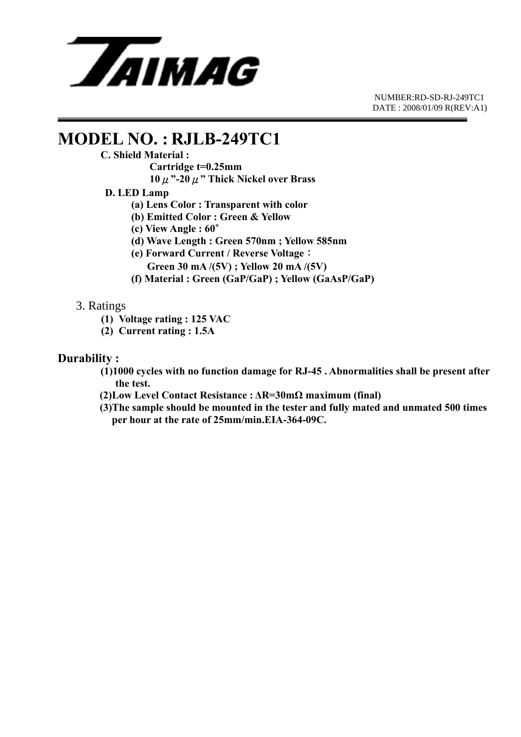

 NUMBER:RD-SD-RJ-249TC1 DATE : 2008/01/09 R(REV:A1)

# **MODEL NO. : RJLB-249TC1**<br>C. Shield Material :

 **Cartridge t=0.25mm 10**μ**"-20**μ**" Thick Nickel over Brass** 

### **D. LED Lamp**

 **(a) Lens Color : Transparent with color** 

- **(b) Emitted Color : Green & Yellow**
- **(c) View Angle : 60**∘
- **(d) Wave Length : Green 570nm ; Yellow 585nm**
- **(e) Forward Current / Reverse Voltage**:
	- **Green 30 mA /(5V) ; Yellow 20 mA /(5V)**
- **(f) Material : Green (GaP/GaP) ; Yellow (GaAsP/GaP)**

### 3. Ratings

- **(1) Voltage rating : 125 VAC**
- **(2) Current rating : 1.5A**

### **Durability :**

- **(1)1000 cycles with no function damage for RJ-45 . Abnormalities shall be present after the test.**
- **(2)Low Level Contact Resistance : ΔR=30mΩ maximum (final)**
- **(3)The sample should be mounted in the tester and fully mated and unmated 500 times per hour at the rate of 25mm/min.EIA-364-09C.**